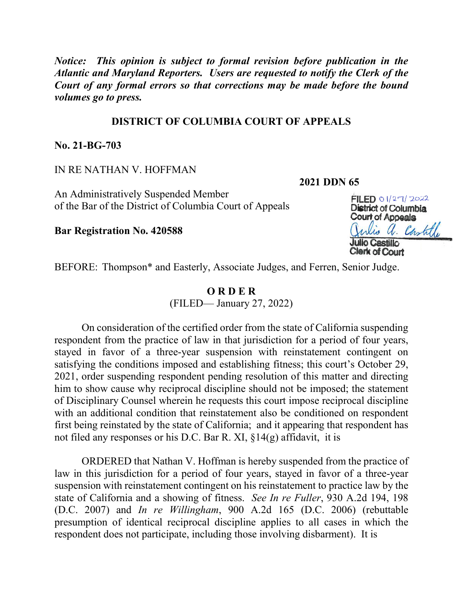*Notice: This opinion is subject to formal revision before publication in the Atlantic and Maryland Reporters. Users are requested to notify the Clerk of the Court of any formal errors so that corrections may be made before the bound volumes go to press.*

## **DISTRICT OF COLUMBIA COURT OF APPEALS**

**No. 21-BG-703**

IN RE NATHAN V. HOFFMAN

**2021 DDN 65**

An Administratively Suspended Member of the Bar of the District of Columbia Court of Appeals

**Bar Registration No. 420588**

FILED 01/27/2022 District of Columbia Court of Appeals is a. Castille

BEFORE: Thompson\* and Easterly, Associate Judges, and Ferren, Senior Judge.

## **O R D E R**

(FILED— January 27, 2022)

On consideration of the certified order from the state of California suspending respondent from the practice of law in that jurisdiction for a period of four years, stayed in favor of a three-year suspension with reinstatement contingent on satisfying the conditions imposed and establishing fitness; this court's October 29, 2021, order suspending respondent pending resolution of this matter and directing him to show cause why reciprocal discipline should not be imposed; the statement of Disciplinary Counsel wherein he requests this court impose reciprocal discipline with an additional condition that reinstatement also be conditioned on respondent first being reinstated by the state of California; and it appearing that respondent has not filed any responses or his D.C. Bar R. XI, §14(g) affidavit, it is

ORDERED that Nathan V. Hoffman is hereby suspended from the practice of law in this jurisdiction for a period of four years, stayed in favor of a three-year suspension with reinstatement contingent on his reinstatement to practice law by the state of California and a showing of fitness. *See In re Fuller*, 930 A.2d 194, 198 (D.C. 2007) and *In re Willingham*, 900 A.2d 165 (D.C. 2006) (rebuttable presumption of identical reciprocal discipline applies to all cases in which the respondent does not participate, including those involving disbarment). It is